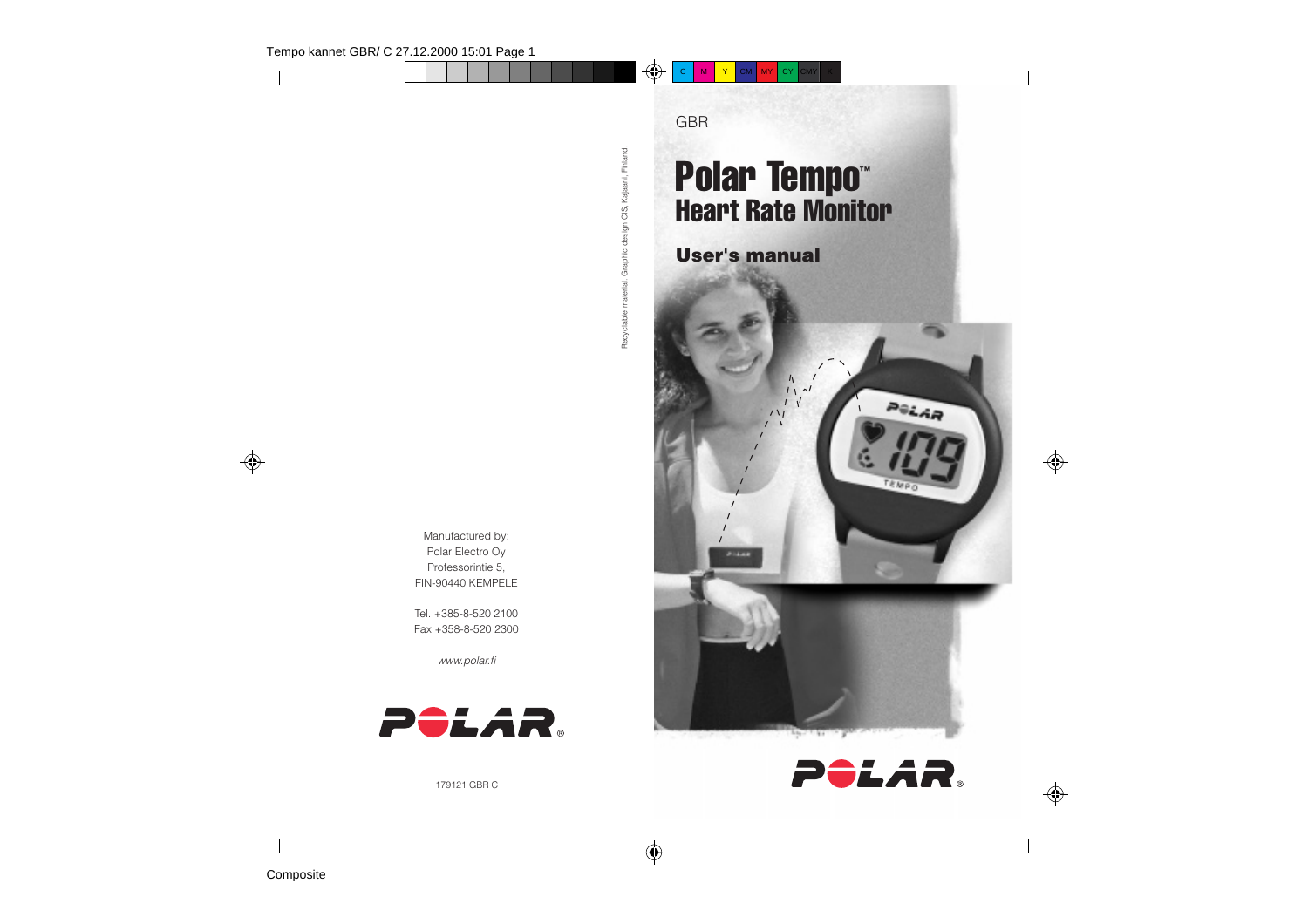

**Composite**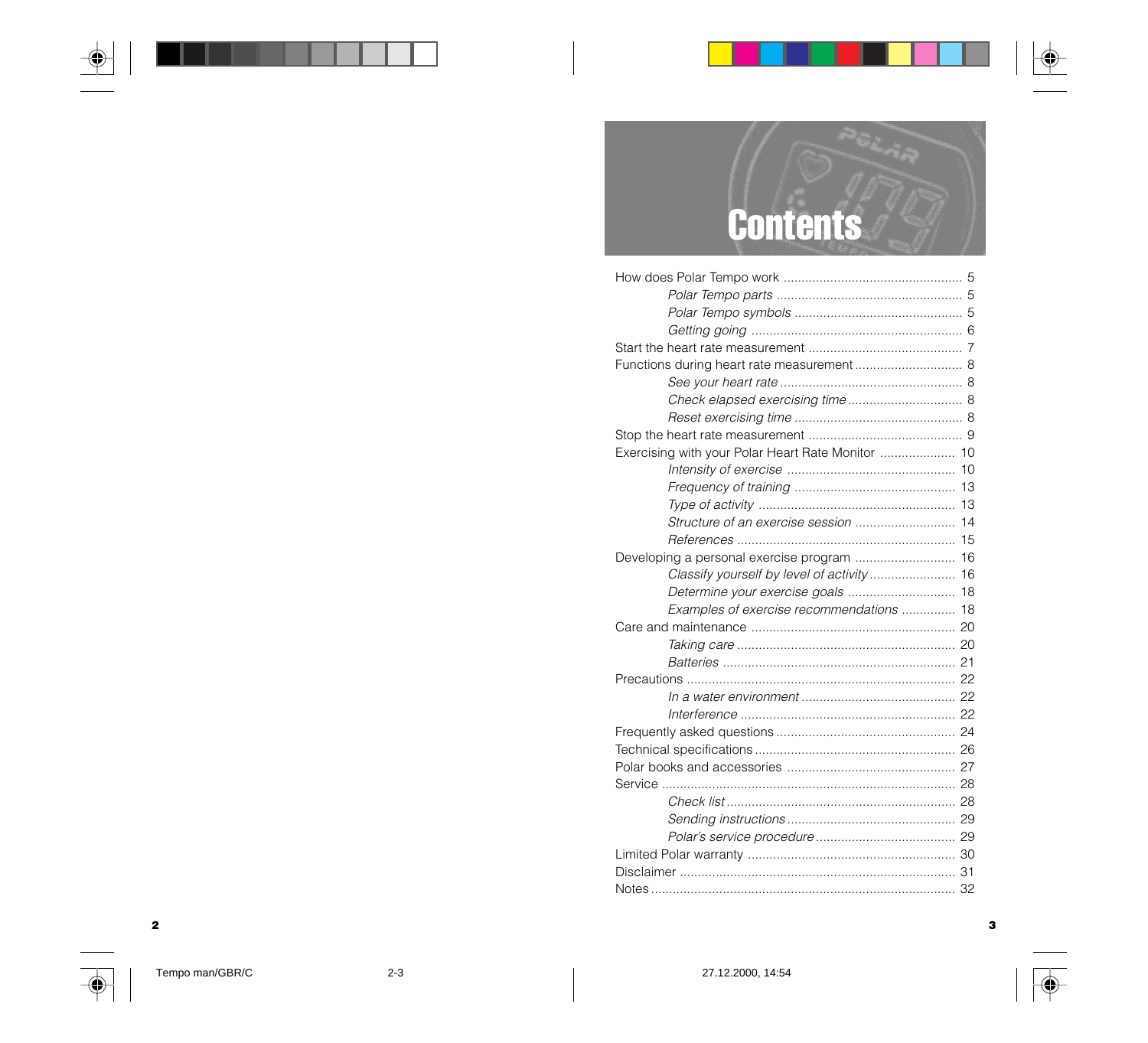# **Contents**

| Exercising with your Polar Heart Rate Monitor  10 |  |
|---------------------------------------------------|--|
|                                                   |  |
|                                                   |  |
|                                                   |  |
| Structure of an exercise session  14              |  |
|                                                   |  |
|                                                   |  |
|                                                   |  |
| Determine your exercise goals  18                 |  |
| Examples of exercise recommendations  18          |  |
|                                                   |  |
|                                                   |  |
|                                                   |  |
|                                                   |  |
|                                                   |  |
|                                                   |  |
|                                                   |  |
|                                                   |  |
|                                                   |  |
|                                                   |  |
|                                                   |  |
|                                                   |  |
|                                                   |  |
|                                                   |  |
|                                                   |  |
|                                                   |  |



 $\bigcirc$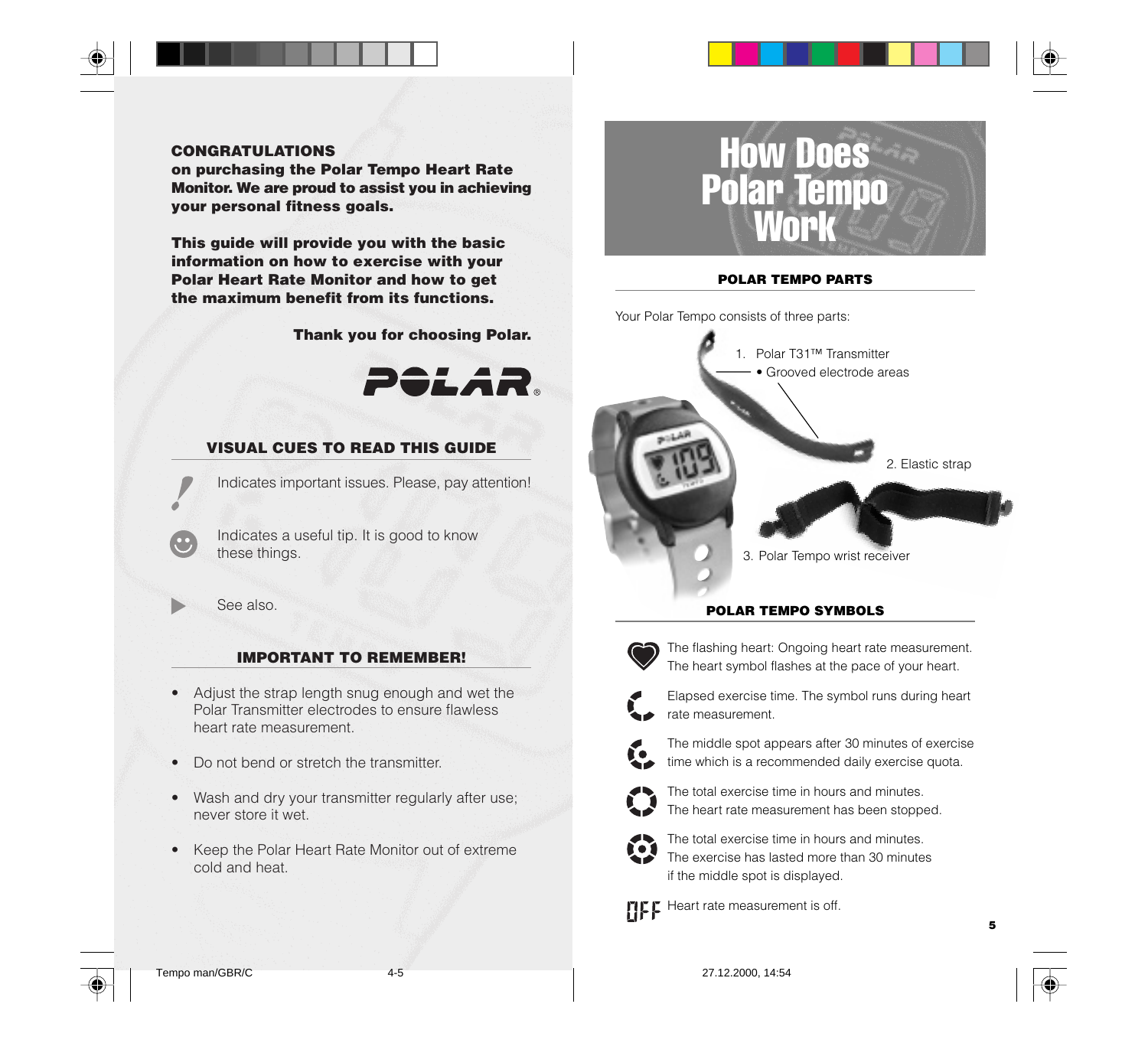

#### **CONGRATULATIONS**

**on purchasing the Polar Tempo Heart Rate Monitor. We are proud to assist you in achieving your personal fitness goals.**

**This guide will provide you with the basic information on how to exercise with your Polar Heart Rate Monitor and how to get the maximum benefit from its functions.**

**Thank you for choosing Polar.**



#### **VISUAL CUES TO READ THIS GUIDE**

Indicates important issues. Please, pay attention!

Indicates a useful tip. It is good to know these things.

See also.

#### **IMPORTANT TO REMEMBER!**

- Adjust the strap length snug enough and wet the Polar Transmitter electrodes to ensure flawless heart rate measurement.
- Do not bend or stretch the transmitter.
- Wash and dry your transmitter regularly after use; never store it wet.
- Keep the Polar Heart Rate Monitor out of extreme cold and heat.



#### **POLAR TEMPO PARTS**

Your Polar Tempo consists of three parts:





The flashing heart: Ongoing heart rate measurement. The heart symbol flashes at the pace of your heart.



Elapsed exercise time. The symbol runs during heart rate measurement.



The middle spot appears after 30 minutes of exercise time which is a recommended daily exercise quota.



The total exercise time in hours and minutes. The heart rate measurement has been stopped.



The total exercise time in hours and minutes. The exercise has lasted more than 30 minutes if the middle spot is displayed.

**Heart rate measurement is off.** 





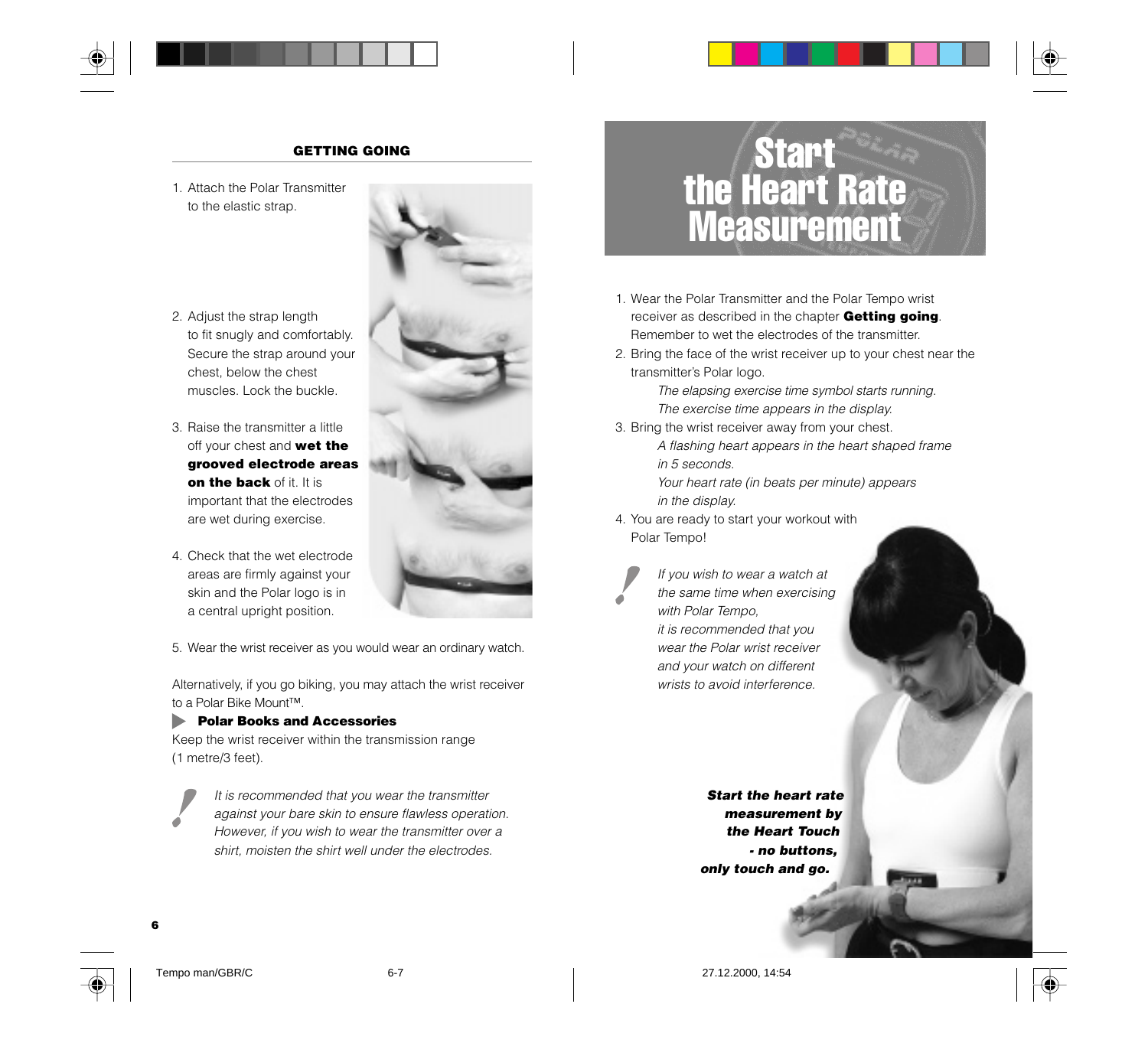

#### **GETTING GOING**

1. Attach the Polar Transmitter to the elastic strap.



- 2. Adjust the strap length to fit snugly and comfortably. Secure the strap around your chest, below the chest muscles. Lock the buckle.
- 3. Raise the transmitter a little off your chest and **wet the grooved electrode areas on the back** of it. It is important that the electrodes are wet during exercise.
- 4. Check that the wet electrode areas are firmly against your skin and the Polar logo is in a central upright position.

5. Wear the wrist receiver as you would wear an ordinary watch.

Alternatively, if you go biking, you may attach the wrist receiver to a Polar Bike Mount™.

#### **Polar Books and Accessories**

Keep the wrist receiver within the transmission range (1 metre/3 feet).

It is recommended that you wear the transmitter against your bare skin to ensure flawless operation. However, if you wish to wear the transmitter over a shirt, moisten the shirt well under the electrodes.

### **Start** the Heart Rate **Measurement**

- 1. Wear the Polar Transmitter and the Polar Tempo wrist receiver as described in the chapter **Getting going**. Remember to wet the electrodes of the transmitter.
- 2. Bring the face of the wrist receiver up to your chest near the transmitter's Polar logo.

The elapsing exercise time symbol starts running. The exercise time appears in the display.

- 3. Bring the wrist receiver away from your chest.
	- A flashing heart appears in the heart shaped frame in 5 seconds.

Your heart rate (in beats per minute) appears in the display.

4. You are ready to start your workout with Polar Tempo!

> If you wish to wear a watch at the same time when exercising with Polar Tempo, it is recommended that you wear the Polar wrist receiver and your watch on different wrists to avoid interference.

> > **Start the heart rate measurement by the Heart Touch - no buttons, only touch and go.**

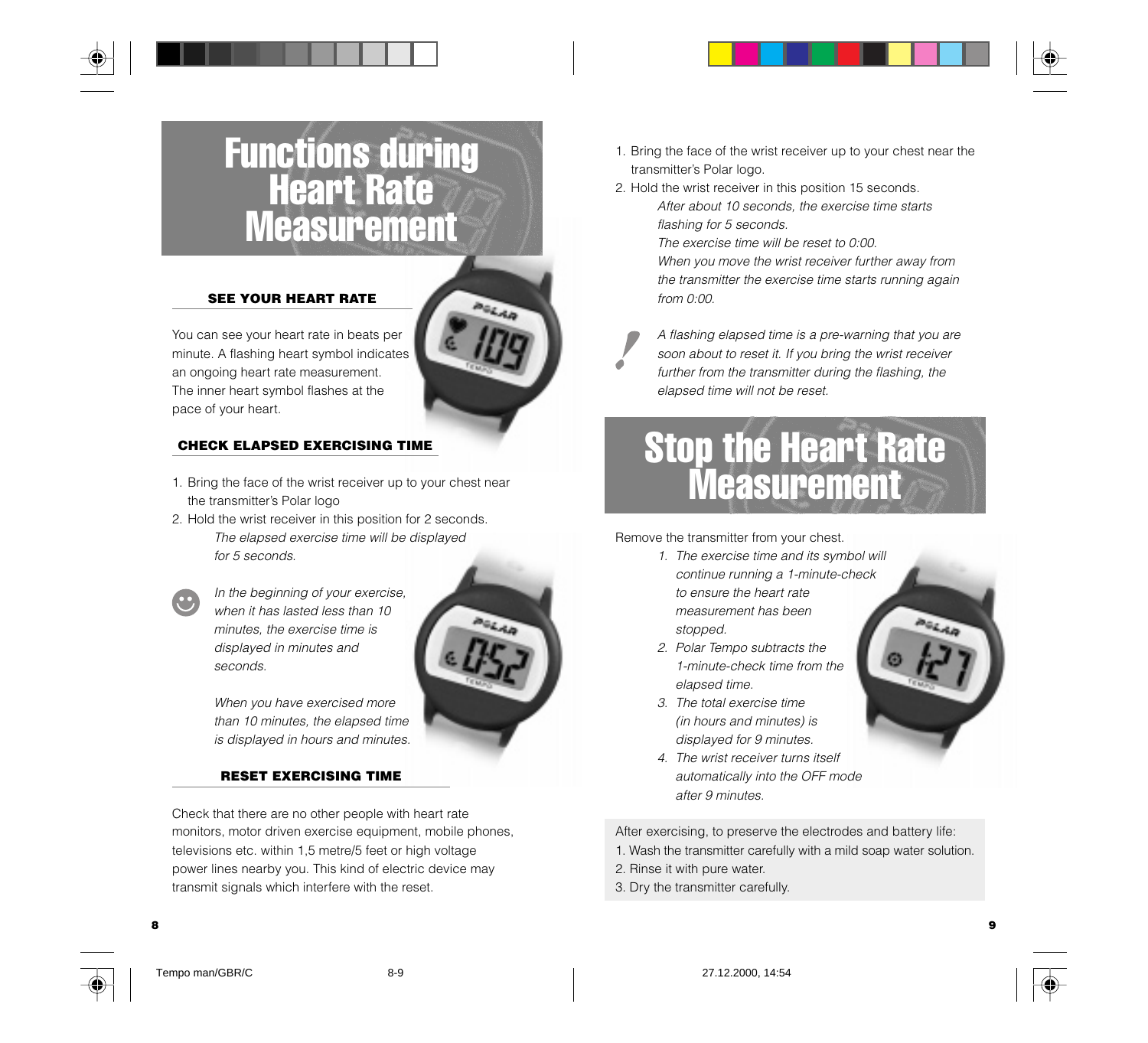### Functions during Heart Rate **Measurement**

#### **SEE YOUR HEART RATE**

You can see your heart rate in beats per minute. A flashing heart symbol indicates an ongoing heart rate measurement. The inner heart symbol flashes at the pace of your heart.

#### **CHECK ELAPSED EXERCISING TIME**

- 1. Bring the face of the wrist receiver up to your chest near the transmitter's Polar logo
- 2. Hold the wrist receiver in this position for 2 seconds. The elapsed exercise time will be displayed for 5 seconds.



In the beginning of your exercise, when it has lasted less than 10 minutes, the exercise time is displayed in minutes and seconds.



When you have exercised more than 10 minutes, the elapsed time is displayed in hours and minutes.

#### **RESET EXERCISING TIME**

Check that there are no other people with heart rate monitors, motor driven exercise equipment, mobile phones, televisions etc. within 1,5 metre/5 feet or high voltage power lines nearby you. This kind of electric device may transmit signals which interfere with the reset.

- 1. Bring the face of the wrist receiver up to your chest near the transmitter's Polar logo.
- 2. Hold the wrist receiver in this position 15 seconds. After about 10 seconds, the exercise time starts flashing for 5 seconds.

The exercise time will be reset to 0:00. When you move the wrist receiver further away from the transmitter the exercise time starts running again from 0:00.

A flashing elapsed time is a pre-warning that you are soon about to reset it. If you bring the wrist receiver further from the transmitter during the flashing, the elapsed time will not be reset.

### Stop the Heart Rate **Measurement**

Remove the transmitter from your chest.

- 1. The exercise time and its symbol will continue running a 1-minute-check to ensure the heart rate measurement has been
	- stopped.
- 2. Polar Tempo subtracts the 1-minute-check time from the elapsed time.
- 3. The total exercise time (in hours and minutes) is displayed for 9 minutes.
- 4. The wrist receiver turns itself automatically into the OFF mode after 9 minutes.

After exercising, to preserve the electrodes and battery life:

- 1. Wash the transmitter carefully with a mild soap water solution.
- 2. Rinse it with pure water.
- 3. Dry the transmitter carefully.





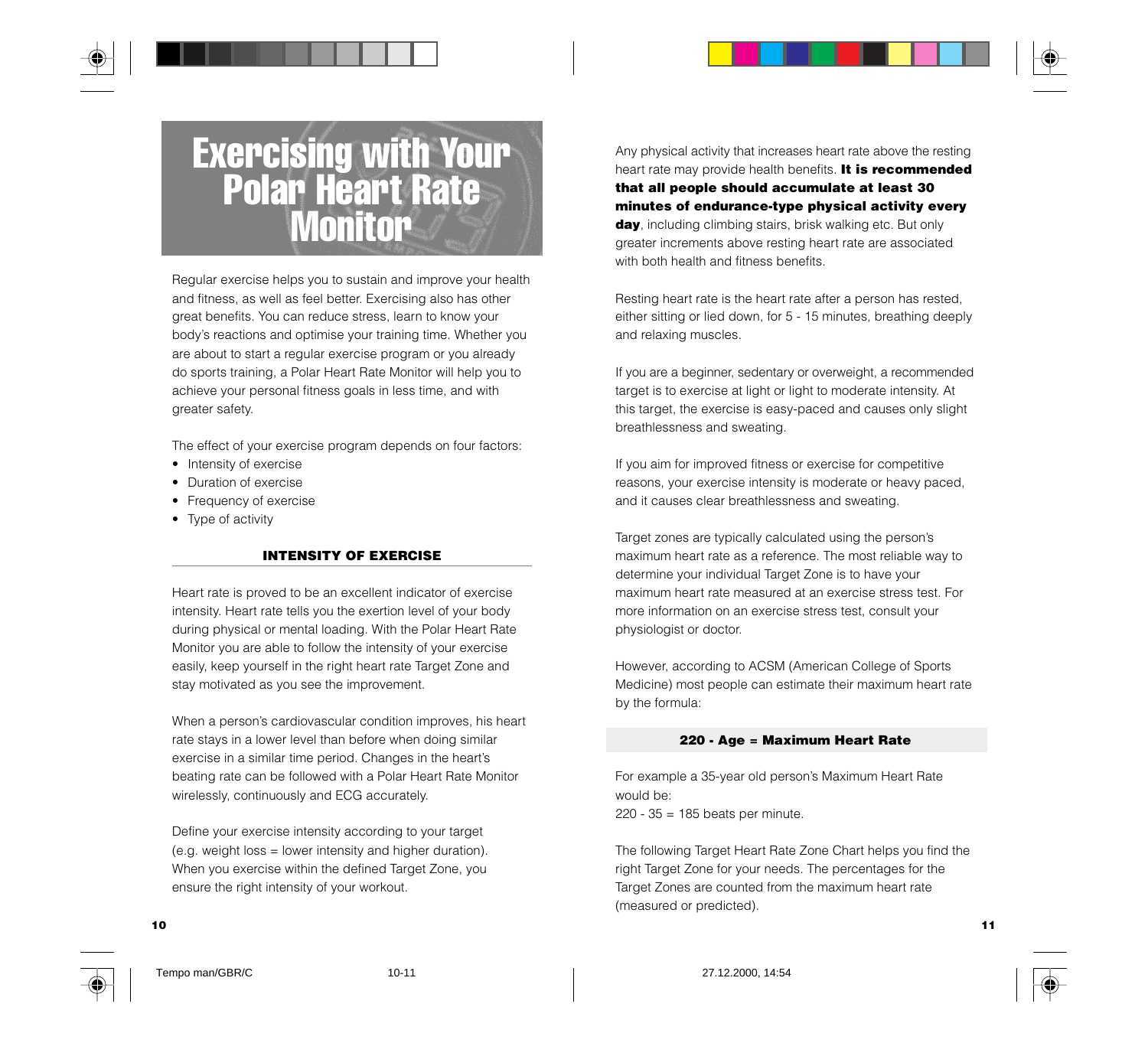

### Exercising with Your Polar Heart Rate **Monitor**

Regular exercise helps you to sustain and improve your health and fitness, as well as feel better. Exercising also has other great benefits. You can reduce stress, learn to know your body's reactions and optimise your training time. Whether you are about to start a regular exercise program or you already do sports training, a Polar Heart Rate Monitor will help you to achieve your personal fitness goals in less time, and with greater safety.

The effect of your exercise program depends on four factors:

- Intensity of exercise
- Duration of exercise
- Frequency of exercise
- Type of activity

#### **INTENSITY OF EXERCISE**

Heart rate is proved to be an excellent indicator of exercise intensity. Heart rate tells you the exertion level of your body during physical or mental loading. With the Polar Heart Rate Monitor you are able to follow the intensity of your exercise easily, keep yourself in the right heart rate Target Zone and stay motivated as you see the improvement.

When a person's cardiovascular condition improves, his heart rate stays in a lower level than before when doing similar exercise in a similar time period. Changes in the heart's beating rate can be followed with a Polar Heart Rate Monitor wirelessly, continuously and ECG accurately.

Define your exercise intensity according to your target (e.g. weight loss = lower intensity and higher duration). When you exercise within the defined Target Zone, you ensure the right intensity of your workout.

Any physical activity that increases heart rate above the resting heart rate may provide health benefits. **It is recommended that all people should accumulate at least 30 minutes of endurance-type physical activity every day**, including climbing stairs, brisk walking etc. But only greater increments above resting heart rate are associated with both health and fitness benefits.

Resting heart rate is the heart rate after a person has rested, either sitting or lied down, for 5 - 15 minutes, breathing deeply and relaxing muscles.

If you are a beginner, sedentary or overweight, a recommended target is to exercise at light or light to moderate intensity. At this target, the exercise is easy-paced and causes only slight breathlessness and sweating.

If you aim for improved fitness or exercise for competitive reasons, your exercise intensity is moderate or heavy paced, and it causes clear breathlessness and sweating.

Target zones are typically calculated using the person's maximum heart rate as a reference. The most reliable way to determine your individual Target Zone is to have your maximum heart rate measured at an exercise stress test. For more information on an exercise stress test, consult your physiologist or doctor.

However, according to ACSM (American College of Sports Medicine) most people can estimate their maximum heart rate by the formula:

#### **220 - Age = Maximum Heart Rate**

For example a 35-year old person's Maximum Heart Rate would be:  $220 - 35 = 185$  beats per minute.

The following Target Heart Rate Zone Chart helps you find the right Target Zone for your needs. The percentages for the Target Zones are counted from the maximum heart rate (measured or predicted).



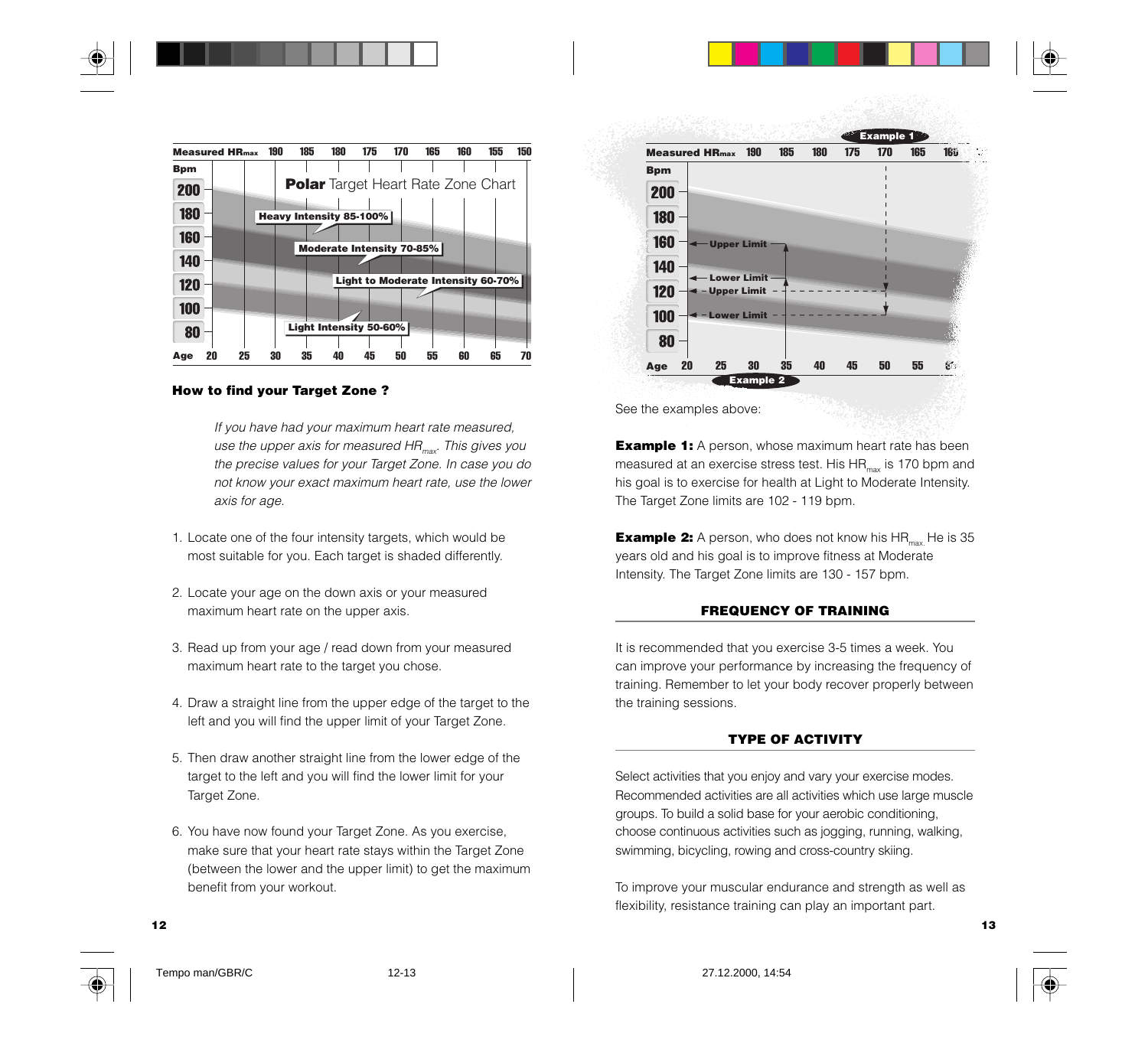

#### **How to find your Target Zone ?**

If you have had your maximum heart rate measured, use the upper axis for measured  $HR_{max}$ . This gives you the precise values for your Target Zone. In case you do not know your exact maximum heart rate, use the lower axis for age.

- 1. Locate one of the four intensity targets, which would be most suitable for you. Each target is shaded differently.
- 2. Locate your age on the down axis or your measured maximum heart rate on the upper axis.
- 3. Read up from your age / read down from your measured maximum heart rate to the target you chose.
- 4. Draw a straight line from the upper edge of the target to the left and you will find the upper limit of your Target Zone.
- 5. Then draw another straight line from the lower edge of the target to the left and you will find the lower limit for your Target Zone.
- 6. You have now found your Target Zone. As you exercise, make sure that your heart rate stays within the Target Zone (between the lower and the upper limit) to get the maximum benefit from your workout.



See the examples above:

**Example 1:** A person, whose maximum heart rate has been measured at an exercise stress test. His  $HR_{max}$  is 170 bpm and his goal is to exercise for health at Light to Moderate Intensity. The Target Zone limits are 102 - 119 bpm.

**Example 2:** A person, who does not know his HR<sub>max</sub>. He is 35 years old and his goal is to improve fitness at Moderate Intensity. The Target Zone limits are 130 - 157 bpm.

#### **FREQUENCY OF TRAINING**

It is recommended that you exercise 3-5 times a week. You can improve your performance by increasing the frequency of training. Remember to let your body recover properly between the training sessions.

#### **TYPE OF ACTIVITY**

Select activities that you enjoy and vary your exercise modes. Recommended activities are all activities which use large muscle groups. To build a solid base for your aerobic conditioning, choose continuous activities such as jogging, running, walking, swimming, bicycling, rowing and cross-country skiing.

To improve your muscular endurance and strength as well as flexibility, resistance training can play an important part.



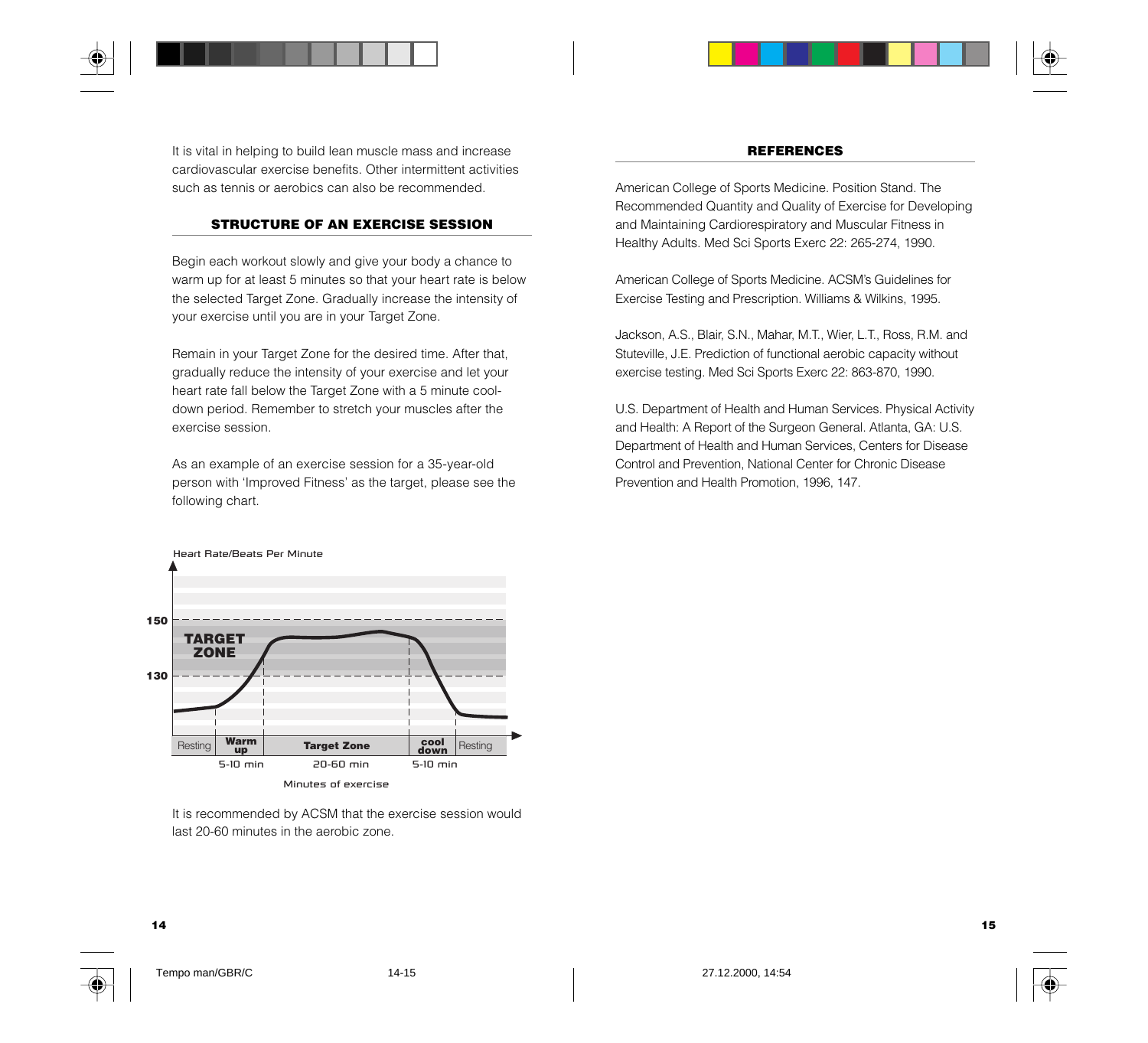

It is vital in helping to build lean muscle mass and increase cardiovascular exercise benefits. Other intermittent activities such as tennis or aerobics can also be recommended.

#### **STRUCTURE OF AN EXERCISE SESSION**

Begin each workout slowly and give your body a chance to warm up for at least 5 minutes so that your heart rate is below the selected Target Zone. Gradually increase the intensity of your exercise until you are in your Target Zone.

Remain in your Target Zone for the desired time. After that, gradually reduce the intensity of your exercise and let your heart rate fall below the Target Zone with a 5 minute cooldown period. Remember to stretch your muscles after the exercise session.

As an example of an exercise session for a 35-year-old person with 'Improved Fitness' as the target, please see the following chart.



It is recommended by ACSM that the exercise session would last 20-60 minutes in the aerobic zone.

#### **REFERENCES**

American College of Sports Medicine. Position Stand. The Recommended Quantity and Quality of Exercise for Developing and Maintaining Cardiorespiratory and Muscular Fitness in Healthy Adults. Med Sci Sports Exerc 22: 265-274, 1990.

American College of Sports Medicine. ACSM's Guidelines for Exercise Testing and Prescription. Williams & Wilkins, 1995.

Jackson, A.S., Blair, S.N., Mahar, M.T., Wier, L.T., Ross, R.M. and Stuteville, J.E. Prediction of functional aerobic capacity without exercise testing. Med Sci Sports Exerc 22: 863-870, 1990.

U.S. Department of Health and Human Services. Physical Activity and Health: A Report of the Surgeon General. Atlanta, GA: U.S. Department of Health and Human Services, Centers for Disease Control and Prevention, National Center for Chronic Disease Prevention and Health Promotion, 1996, 147.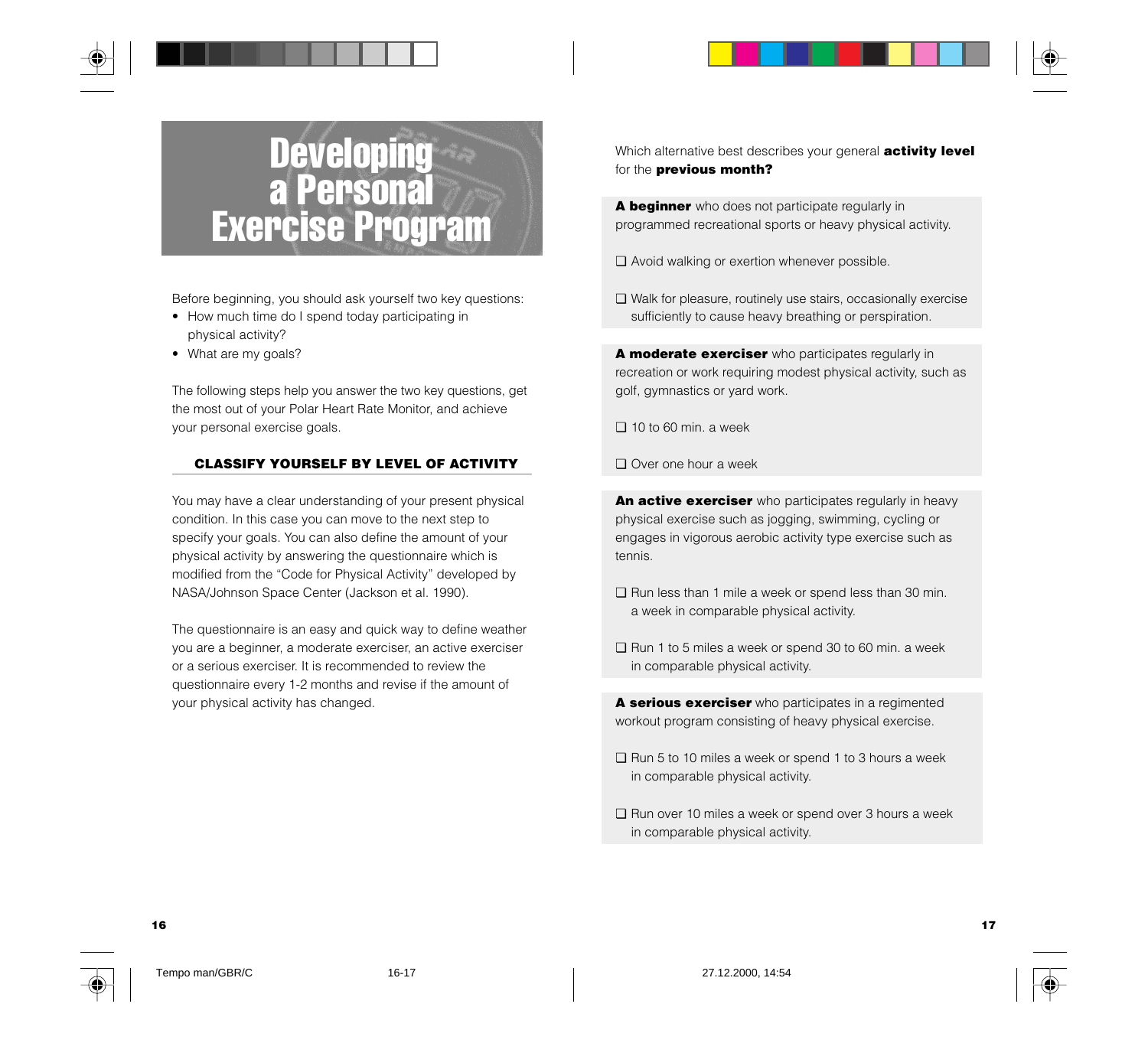



Before beginning, you should ask yourself two key questions:

- How much time do I spend today participating in physical activity?
- What are my goals?

The following steps help you answer the two key questions, get the most out of your Polar Heart Rate Monitor, and achieve your personal exercise goals.

#### **CLASSIFY YOURSELF BY LEVEL OF ACTIVITY**

You may have a clear understanding of your present physical condition. In this case you can move to the next step to specify your goals. You can also define the amount of your physical activity by answering the questionnaire which is modified from the "Code for Physical Activity" developed by NASA/Johnson Space Center (Jackson et al. 1990).

The questionnaire is an easy and quick way to define weather you are a beginner, a moderate exerciser, an active exerciser or a serious exerciser. It is recommended to review the questionnaire every 1-2 months and revise if the amount of your physical activity has changed.

Which alternative best describes your general **activity level** for the **previous month?**

**A beginner** who does not participate regularly in programmed recreational sports or heavy physical activity.

- ❏ Avoid walking or exertion whenever possible.
- ❏ Walk for pleasure, routinely use stairs, occasionally exercise sufficiently to cause heavy breathing or perspiration.

**A moderate exerciser** who participates regularly in recreation or work requiring modest physical activity, such as golf, gymnastics or yard work.

- ❏ 10 to 60 min. a week
- ❏ Over one hour a week

**An active exerciser** who participates regularly in heavy physical exercise such as jogging, swimming, cycling or engages in vigorous aerobic activity type exercise such as tennis.

- ❏ Run less than 1 mile a week or spend less than 30 min. a week in comparable physical activity.
- ❏ Run 1 to 5 miles a week or spend 30 to 60 min. a week in comparable physical activity.

**A serious exerciser** who participates in a regimented workout program consisting of heavy physical exercise.

- ❏ Run 5 to 10 miles a week or spend 1 to 3 hours a week in comparable physical activity.
- ❏ Run over 10 miles a week or spend over 3 hours a week in comparable physical activity.

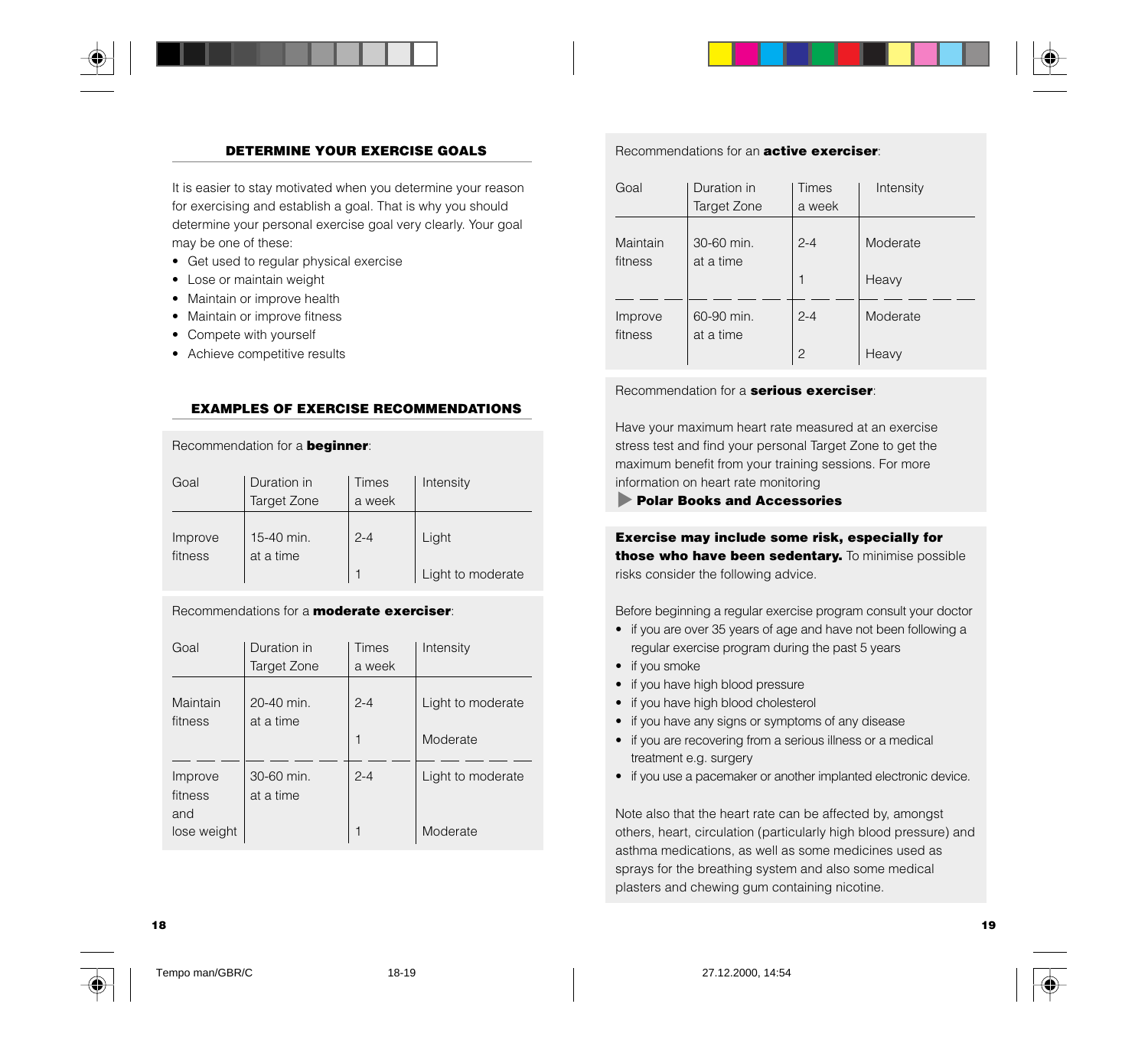

#### **DETERMINE YOUR EXERCISE GOALS**

It is easier to stay motivated when you determine your reason for exercising and establish a goal. That is why you should determine your personal exercise goal very clearly. Your goal may be one of these:

- Get used to regular physical exercise
- Lose or maintain weight
- Maintain or improve health
- Maintain or improve fitness
- Compete with yourself
- Achieve competitive results

#### **EXAMPLES OF EXERCISE RECOMMENDATIONS**

Recommendation for a **beginner**:

| Goal               | Duration in<br>Target Zone | Times<br>a week | Intensity         |
|--------------------|----------------------------|-----------------|-------------------|
| Improve<br>fitness | 15-40 min.<br>at a time    | $2 - 4$         | Light             |
|                    |                            |                 | Light to moderate |

#### Recommendations for a **moderate exerciser**:

| Goal                      | Duration in<br>Target Zone | <b>Times</b><br>a week | Intensity         |
|---------------------------|----------------------------|------------------------|-------------------|
| Maintain<br>fitness       | 20-40 min.<br>at a time    | $2 - 4$                | Light to moderate |
|                           |                            | 1                      | Moderate          |
| Improve<br>fitness<br>and | 30-60 min.<br>at a time    | $2 - 4$                | Light to moderate |
| lose weight               |                            | 1                      | Moderate          |

#### Recommendations for an **active exerciser**:

| Goal                | Duration in<br>Target Zone | <b>Times</b><br>a week | Intensity |
|---------------------|----------------------------|------------------------|-----------|
| Maintain<br>fitness | 30-60 min.<br>at a time    | $2 - 4$                | Moderate  |
|                     |                            |                        | Heavy     |
| Improve<br>fitness  | 60-90 min.<br>at a time    | $2 - 4$                | Moderate  |
|                     |                            | $\overline{c}$         | Heavy     |

#### Recommendation for a **serious exerciser**:

Have your maximum heart rate measured at an exercise stress test and find your personal Target Zone to get the maximum benefit from your training sessions. For more information on heart rate monitoring

#### **Polar Books and Accessories**

**Exercise may include some risk, especially for those who have been sedentary.** To minimise possible risks consider the following advice.

Before beginning a regular exercise program consult your doctor

- if you are over 35 years of age and have not been following a regular exercise program during the past 5 years
- if you smoke
- if you have high blood pressure
- if you have high blood cholesterol
- if you have any signs or symptoms of any disease
- if you are recovering from a serious illness or a medical treatment e.g. surgery
- if you use a pacemaker or another implanted electronic device.

Note also that the heart rate can be affected by, amongst others, heart, circulation (particularly high blood pressure) and asthma medications, as well as some medicines used as sprays for the breathing system and also some medical plasters and chewing gum containing nicotine.





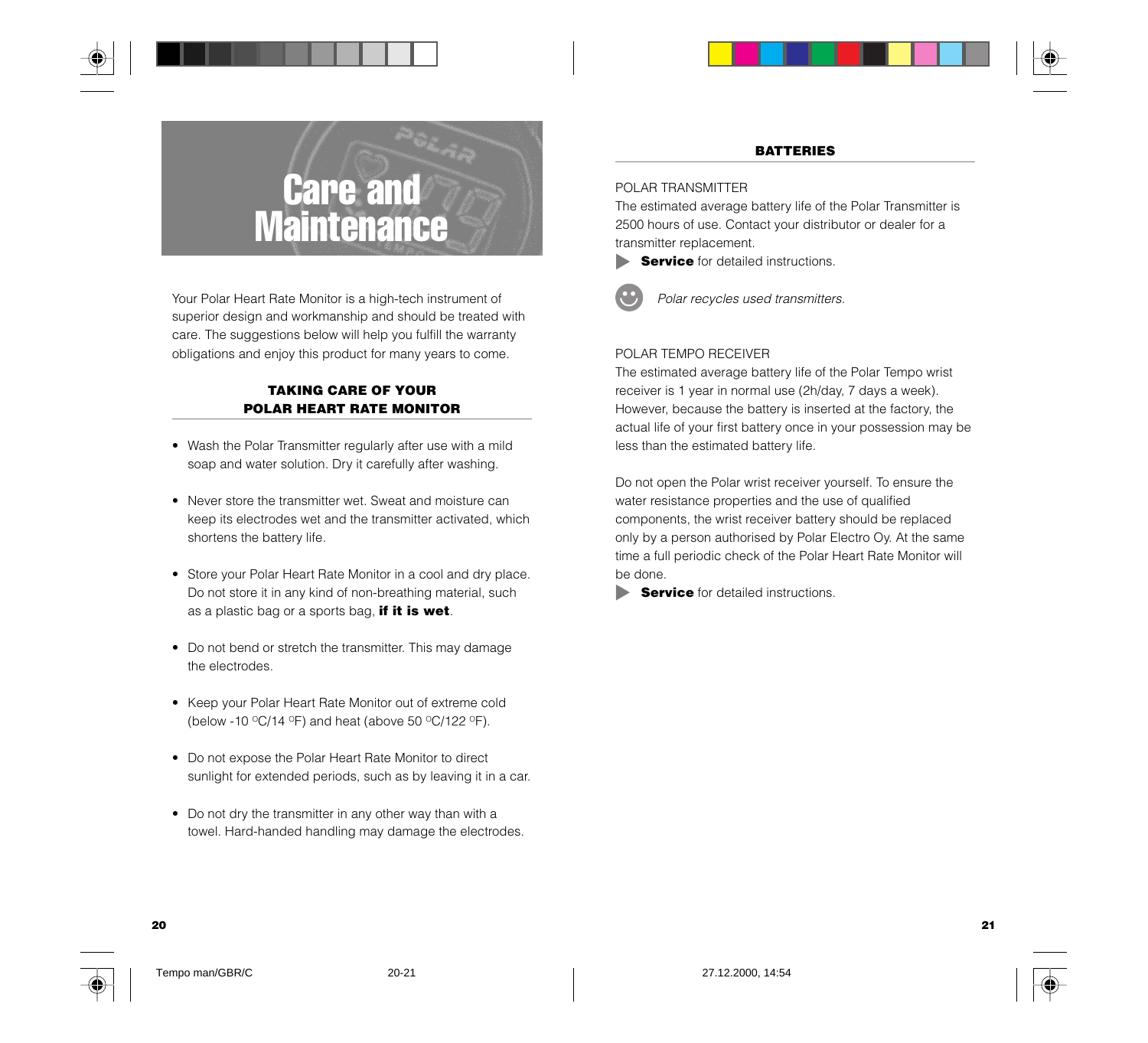

## Care and **Maintenance**

Your Polar Heart Rate Monitor is a high-tech instrument of superior design and workmanship and should be treated with care. The suggestions below will help you fulfill the warranty obligations and enjoy this product for many years to come.

#### **TAKING CARE OF YOUR POLAR HEART RATE MONITOR**

- Wash the Polar Transmitter regularly after use with a mild soap and water solution. Dry it carefully after washing.
- Never store the transmitter wet. Sweat and moisture can keep its electrodes wet and the transmitter activated, which shortens the battery life.
- Store your Polar Heart Rate Monitor in a cool and dry place. Do not store it in any kind of non-breathing material, such as a plastic bag or a sports bag, **if it is wet**.
- Do not bend or stretch the transmitter. This may damage the electrodes.
- Keep your Polar Heart Rate Monitor out of extreme cold (below -10  $\mathrm{^{\circ}C}/14$   $\mathrm{^{\circ}F}$ ) and heat (above 50  $\mathrm{^{\circ}C}/122$   $\mathrm{^{\circ}F}$ ).
- Do not expose the Polar Heart Rate Monitor to direct sunlight for extended periods, such as by leaving it in a car.
- Do not dry the transmitter in any other way than with a towel. Hard-handed handling may damage the electrodes.

#### **BATTERIES**

#### POLAR TRANSMITTER

The estimated average battery life of the Polar Transmitter is 2500 hours of use. Contact your distributor or dealer for a transmitter replacement.



**Service** for detailed instructions.



Polar recycles used transmitters.

#### POLAR TEMPO RECEIVER

The estimated average battery life of the Polar Tempo wrist receiver is 1 year in normal use (2h/day, 7 days a week). However, because the battery is inserted at the factory, the actual life of your first battery once in your possession may be less than the estimated battery life.

Do not open the Polar wrist receiver yourself. To ensure the water resistance properties and the use of qualified components, the wrist receiver battery should be replaced only by a person authorised by Polar Electro Oy. At the same time a full periodic check of the Polar Heart Rate Monitor will be done.

**Service** for detailed instructions.

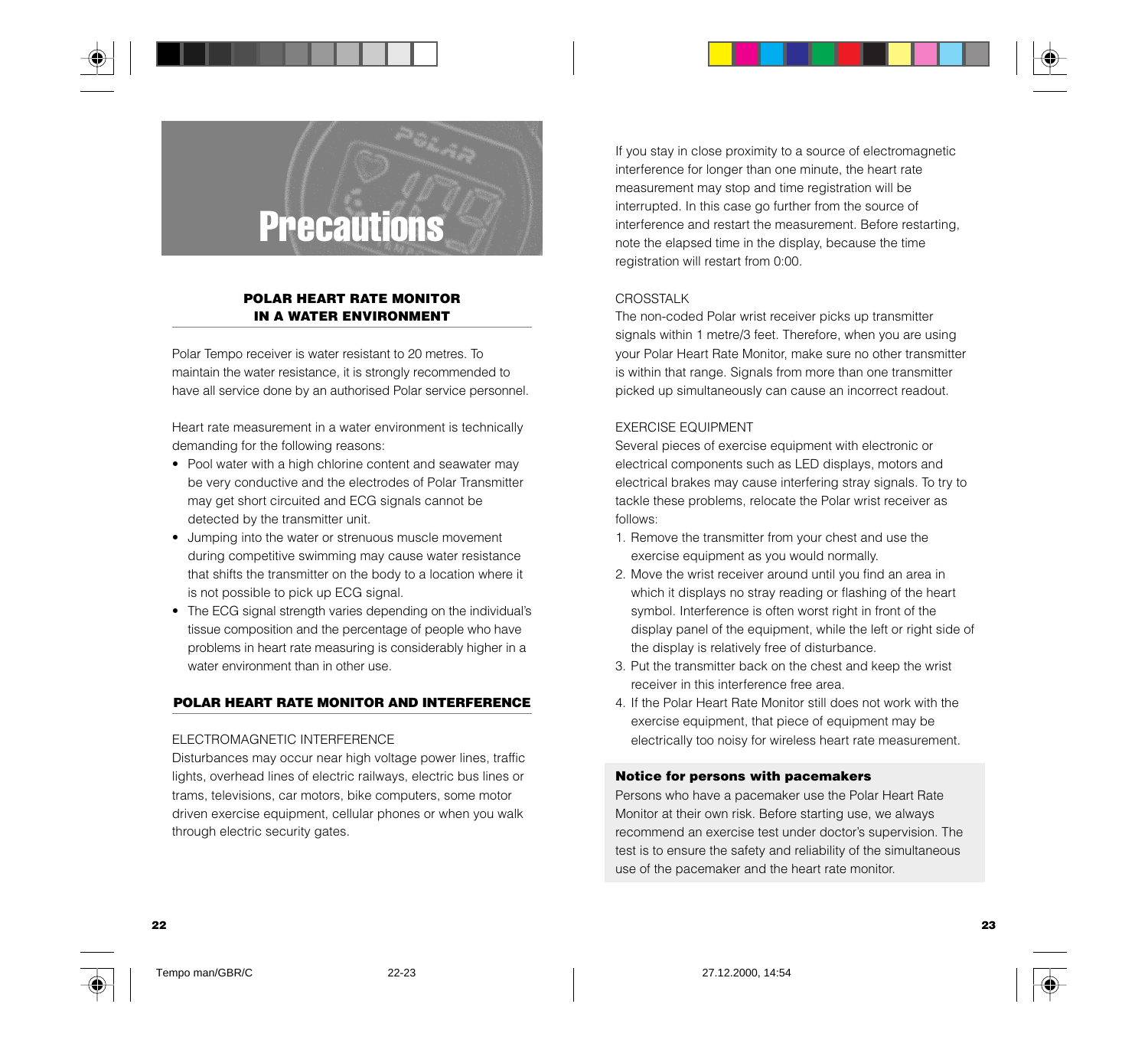



#### **POLAR HEART RATE MONITOR IN A WATER ENVIRONMENT**

Polar Tempo receiver is water resistant to 20 metres. To maintain the water resistance, it is strongly recommended to have all service done by an authorised Polar service personnel.

Heart rate measurement in a water environment is technically demanding for the following reasons:

- Pool water with a high chlorine content and seawater may be very conductive and the electrodes of Polar Transmitter may get short circuited and ECG signals cannot be detected by the transmitter unit.
- Jumping into the water or strenuous muscle movement during competitive swimming may cause water resistance that shifts the transmitter on the body to a location where it is not possible to pick up ECG signal.
- The ECG signal strength varies depending on the individual's tissue composition and the percentage of people who have problems in heart rate measuring is considerably higher in a water environment than in other use.

#### **POLAR HEART RATE MONITOR AND INTERFERENCE**

#### ELECTROMAGNETIC INTERFERENCE

Disturbances may occur near high voltage power lines, traffic lights, overhead lines of electric railways, electric bus lines or trams, televisions, car motors, bike computers, some motor driven exercise equipment, cellular phones or when you walk through electric security gates.

If you stay in close proximity to a source of electromagnetic interference for longer than one minute, the heart rate measurement may stop and time registration will be interrupted. In this case go further from the source of interference and restart the measurement. Before restarting, note the elapsed time in the display, because the time registration will restart from 0:00.

#### **CROSSTALK**

The non-coded Polar wrist receiver picks up transmitter signals within 1 metre/3 feet. Therefore, when you are using your Polar Heart Rate Monitor, make sure no other transmitter is within that range. Signals from more than one transmitter picked up simultaneously can cause an incorrect readout.

#### EXERCISE EQUIPMENT

Several pieces of exercise equipment with electronic or electrical components such as LED displays, motors and electrical brakes may cause interfering stray signals. To try to tackle these problems, relocate the Polar wrist receiver as follows:

- 1. Remove the transmitter from your chest and use the exercise equipment as you would normally.
- 2. Move the wrist receiver around until you find an area in which it displays no stray reading or flashing of the heart symbol. Interference is often worst right in front of the display panel of the equipment, while the left or right side of the display is relatively free of disturbance.
- 3. Put the transmitter back on the chest and keep the wrist receiver in this interference free area.
- 4. If the Polar Heart Rate Monitor still does not work with the exercise equipment, that piece of equipment may be electrically too noisy for wireless heart rate measurement.

#### **Notice for persons with pacemakers**

Persons who have a pacemaker use the Polar Heart Rate Monitor at their own risk. Before starting use, we always recommend an exercise test under doctor's supervision. The test is to ensure the safety and reliability of the simultaneous use of the pacemaker and the heart rate monitor.

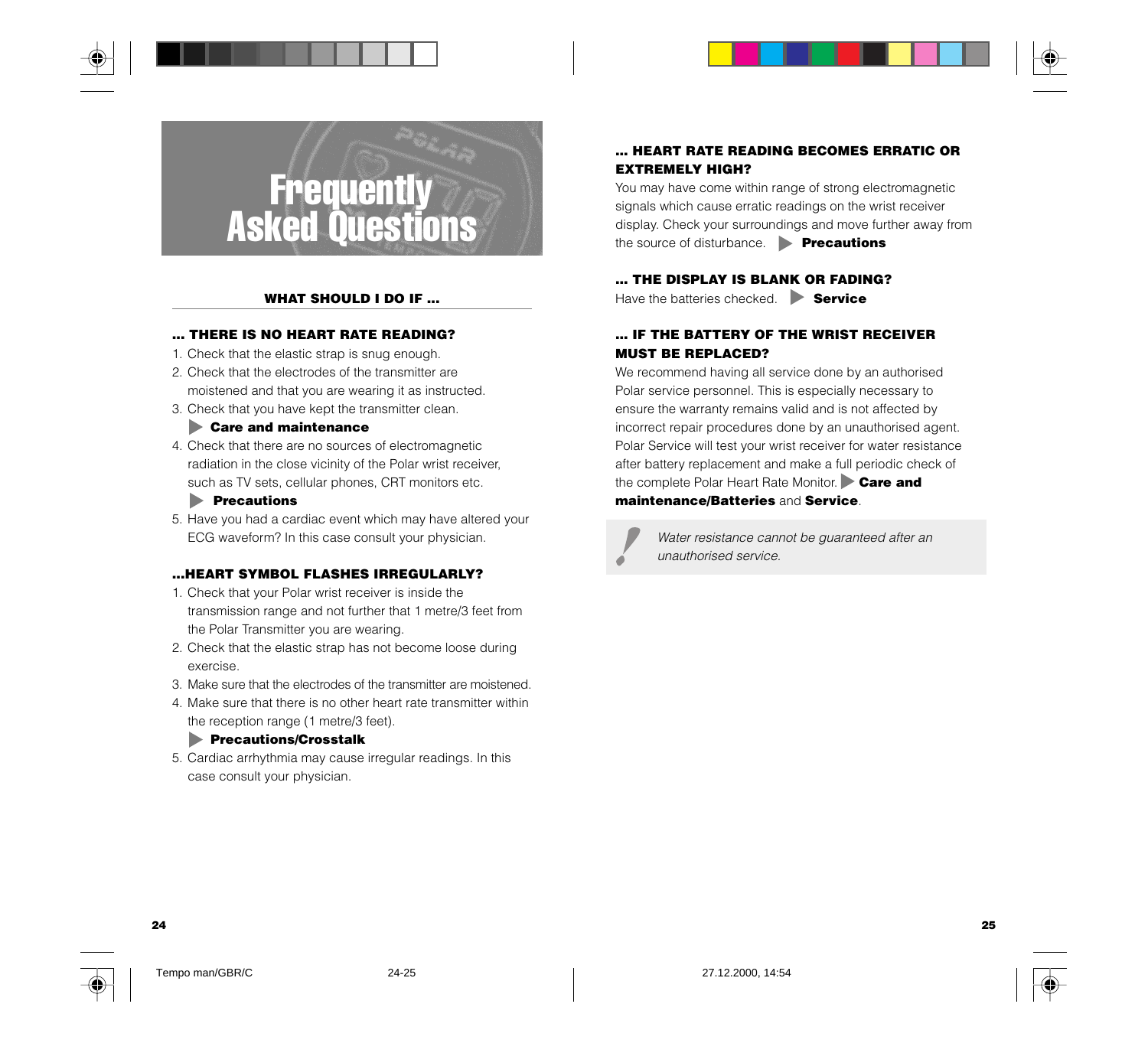



#### **WHAT SHOULD I DO IF ...**

#### **... THERE IS NO HEART RATE READING?**

- 1. Check that the elastic strap is snug enough.
- 2. Check that the electrodes of the transmitter are moistened and that you are wearing it as instructed.
- 3. Check that you have kept the transmitter clean.

#### **Care and maintenance**

4. Check that there are no sources of electromagnetic radiation in the close vicinity of the Polar wrist receiver, such as TV sets, cellular phones, CRT monitors etc.

#### **Precautions**

5. Have you had a cardiac event which may have altered your ECG waveform? In this case consult your physician.

#### **...HEART SYMBOL FLASHES IRREGULARLY?**

- 1. Check that your Polar wrist receiver is inside the transmission range and not further that 1 metre/3 feet from the Polar Transmitter you are wearing.
- 2. Check that the elastic strap has not become loose during exercise.
- 3. Make sure that the electrodes of the transmitter are moistened.
- 4. Make sure that there is no other heart rate transmitter within the reception range (1 metre/3 feet).

#### **Precautions/Crosstalk**

5. Cardiac arrhythmia may cause irregular readings. In this case consult your physician.

#### **... HEART RATE READING BECOMES ERRATIC OR EXTREMELY HIGH?**

You may have come within range of strong electromagnetic signals which cause erratic readings on the wrist receiver display. Check your surroundings and move further away from the source of disturbance. **Precautions**

#### **... THE DISPLAY IS BLANK OR FADING?**

Have the batteries checked. **Service** 

#### **... IF THE BATTERY OF THE WRIST RECEIVER MUST BE REPLACED?**

We recommend having all service done by an authorised Polar service personnel. This is especially necessary to ensure the warranty remains valid and is not affected by incorrect repair procedures done by an unauthorised agent. Polar Service will test your wrist receiver for water resistance after battery replacement and make a full periodic check of the complete Polar Heart Rate Monitor. **Care and maintenance/Batteries** and **Service**.

Water resistance cannot be guaranteed after an unauthorised service.

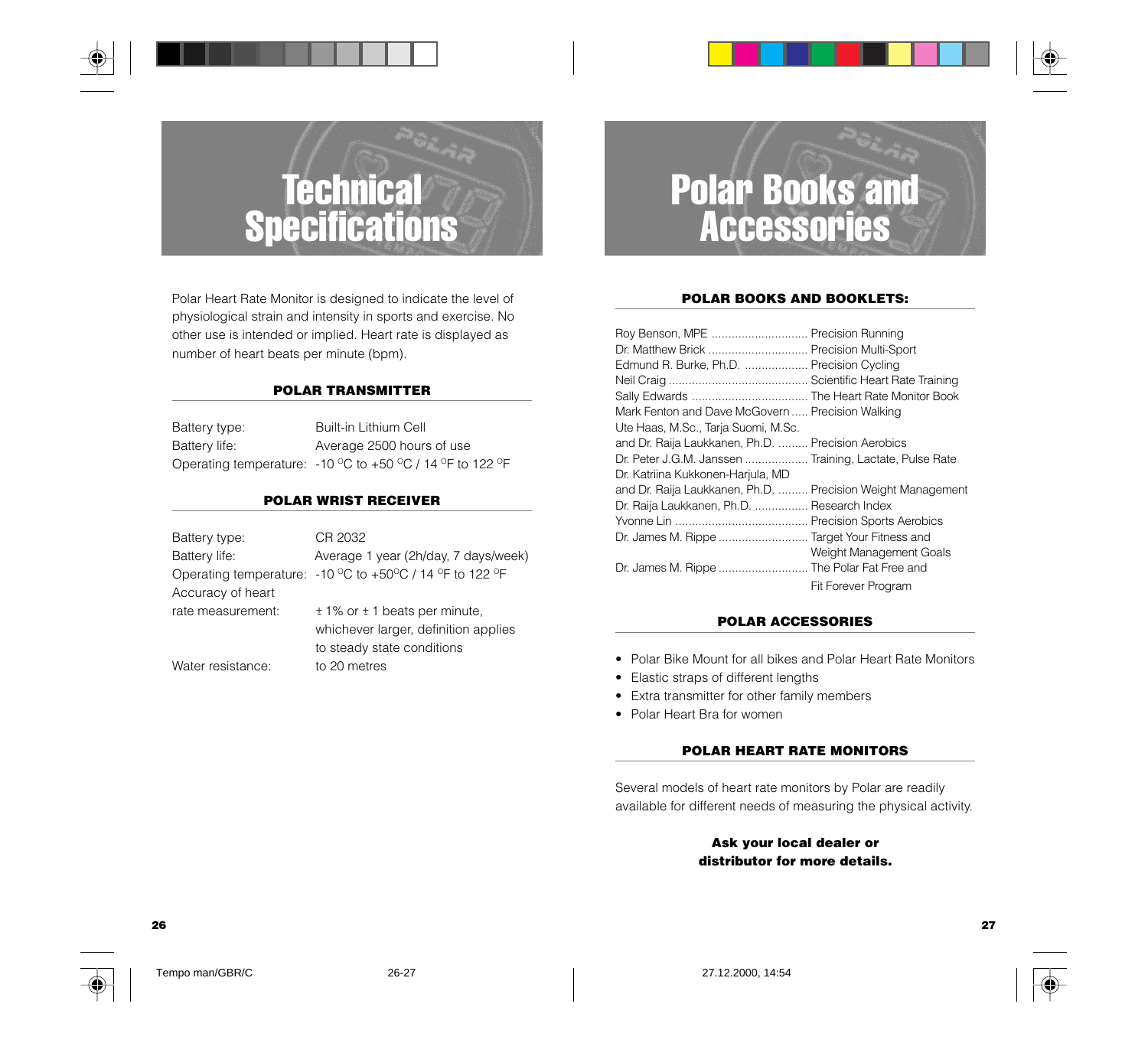## **Technical Specifications**

Polar Heart Rate Monitor is designed to indicate the level of physiological strain and intensity in sports and exercise. No other use is intended or implied. Heart rate is displayed as number of heart beats per minute (bpm).

#### **POLAR TRANSMITTER**

| Battery type: | Built-in Lithium Cell                                     |
|---------------|-----------------------------------------------------------|
| Battery life: | Average 2500 hours of use                                 |
|               | Operating temperature: -10 °C to +50 °C / 14 °F to 122 °F |

#### **POLAR WRIST RECEIVER**

| Battery type:     | CR 2032                                                  |
|-------------------|----------------------------------------------------------|
| Battery life:     | Average 1 year (2h/day, 7 days/week)                     |
|                   | Operating temperature: -10 °C to +50°C / 14 °F to 122 °F |
| Accuracy of heart |                                                          |
| rate measurement: | $± 1\%$ or $± 1$ beats per minute,                       |
|                   | whichever larger, definition applies                     |
|                   | to steady state conditions                               |
| Water resistance: | to 20 metres                                             |

## Polar Books and Accessories

#### **POLAR BOOKS AND BOOKLETS:**

| Roy Benson, MPE  Precision Running<br>Dr. Matthew Brick  Precision Multi-Sport<br>Edmund R. Burke, Ph.D.  Precision Cycling<br>Mark Fenton and Dave McGovern  Precision Walking<br>Ute Haas, M.Sc., Tarja Suomi, M.Sc. |                            |
|------------------------------------------------------------------------------------------------------------------------------------------------------------------------------------------------------------------------|----------------------------|
| and Dr. Raija Laukkanen, Ph.D.  Precision Aerobics<br>Dr. Peter J.G.M. Janssen  Training, Lactate, Pulse Rate<br>Dr. Katriina Kukkonen-Harjula, MD                                                                     |                            |
| and Dr. Raija Laukkanen, Ph.D.  Precision Weight Management<br>Dr. Raija Laukkanen, Ph.D.  Research Index                                                                                                              |                            |
| Dr. James M. Rippe  Target Your Fitness and<br>Dr. James M. Rippe  The Polar Fat Free and                                                                                                                              | Weight Management Goals    |
|                                                                                                                                                                                                                        | <b>Fit Forever Program</b> |

#### **POLAR ACCESSORIES**

- Polar Bike Mount for all bikes and Polar Heart Rate Monitors
- Elastic straps of different lengths
- Extra transmitter for other family members
- Polar Heart Bra for women

#### **POLAR HEART RATE MONITORS**

Several models of heart rate monitors by Polar are readily available for different needs of measuring the physical activity.

#### **Ask your local dealer or distributor for more details.**

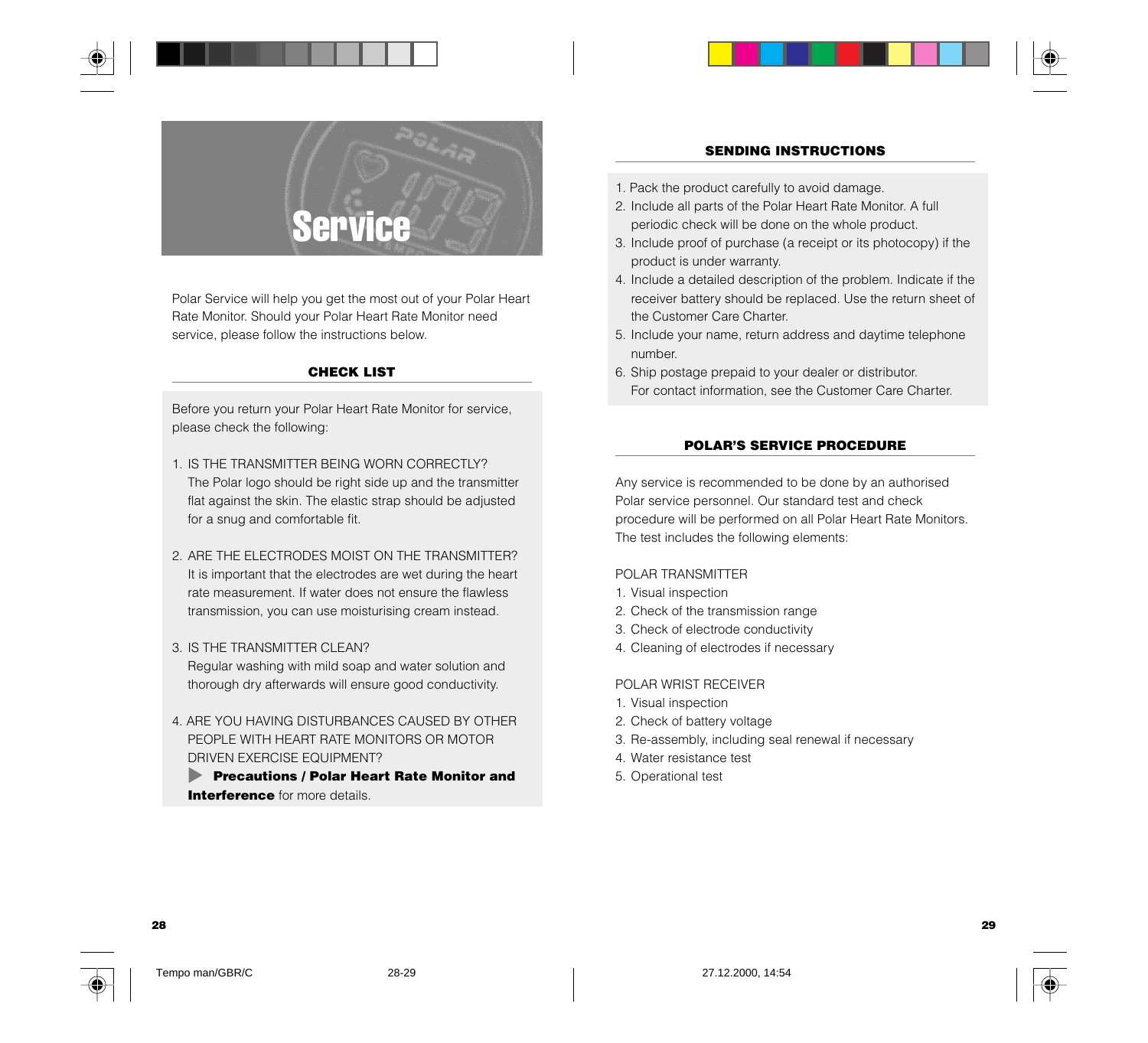



Polar Service will help you get the most out of your Polar Heart Rate Monitor. Should your Polar Heart Rate Monitor need service, please follow the instructions below.

#### **CHECK LIST**

Before you return your Polar Heart Rate Monitor for service, please check the following:

- 1. IS THE TRANSMITTER BEING WORN CORRECTLY? The Polar logo should be right side up and the transmitter flat against the skin. The elastic strap should be adjusted for a snug and comfortable fit.
- 2. ARE THE ELECTRODES MOIST ON THE TRANSMITTER? It is important that the electrodes are wet during the heart rate measurement. If water does not ensure the flawless transmission, you can use moisturising cream instead.
- 3. IS THE TRANSMITTER CLEAN? Regular washing with mild soap and water solution and thorough dry afterwards will ensure good conductivity.
- 4. ARE YOU HAVING DISTURBANCES CAUSED BY OTHER PEOPLE WITH HEART RATE MONITORS OR MOTOR DRIVEN EXERCISE EQUIPMENT?

**Precautions / Polar Heart Rate Monitor and Interference** for more details.

#### **SENDING INSTRUCTIONS**

- 1. Pack the product carefully to avoid damage.
- 2. Include all parts of the Polar Heart Rate Monitor. A full periodic check will be done on the whole product.
- 3. Include proof of purchase (a receipt or its photocopy) if the product is under warranty.
- 4. Include a detailed description of the problem. Indicate if the receiver battery should be replaced. Use the return sheet of the Customer Care Charter.
- 5. Include your name, return address and daytime telephone number.
- 6. Ship postage prepaid to your dealer or distributor. For contact information, see the Customer Care Charter.

#### **POLAR'S SERVICE PROCEDURE**

Any service is recommended to be done by an authorised Polar service personnel. Our standard test and check procedure will be performed on all Polar Heart Rate Monitors. The test includes the following elements:

#### POLAR TRANSMITTER

- 1. Visual inspection
- 2. Check of the transmission range
- 3. Check of electrode conductivity
- 4. Cleaning of electrodes if necessary

#### POLAR WRIST RECEIVER

- 1. Visual inspection
- 2. Check of battery voltage
- 3. Re-assembly, including seal renewal if necessary
- 4. Water resistance test
- 5. Operational test

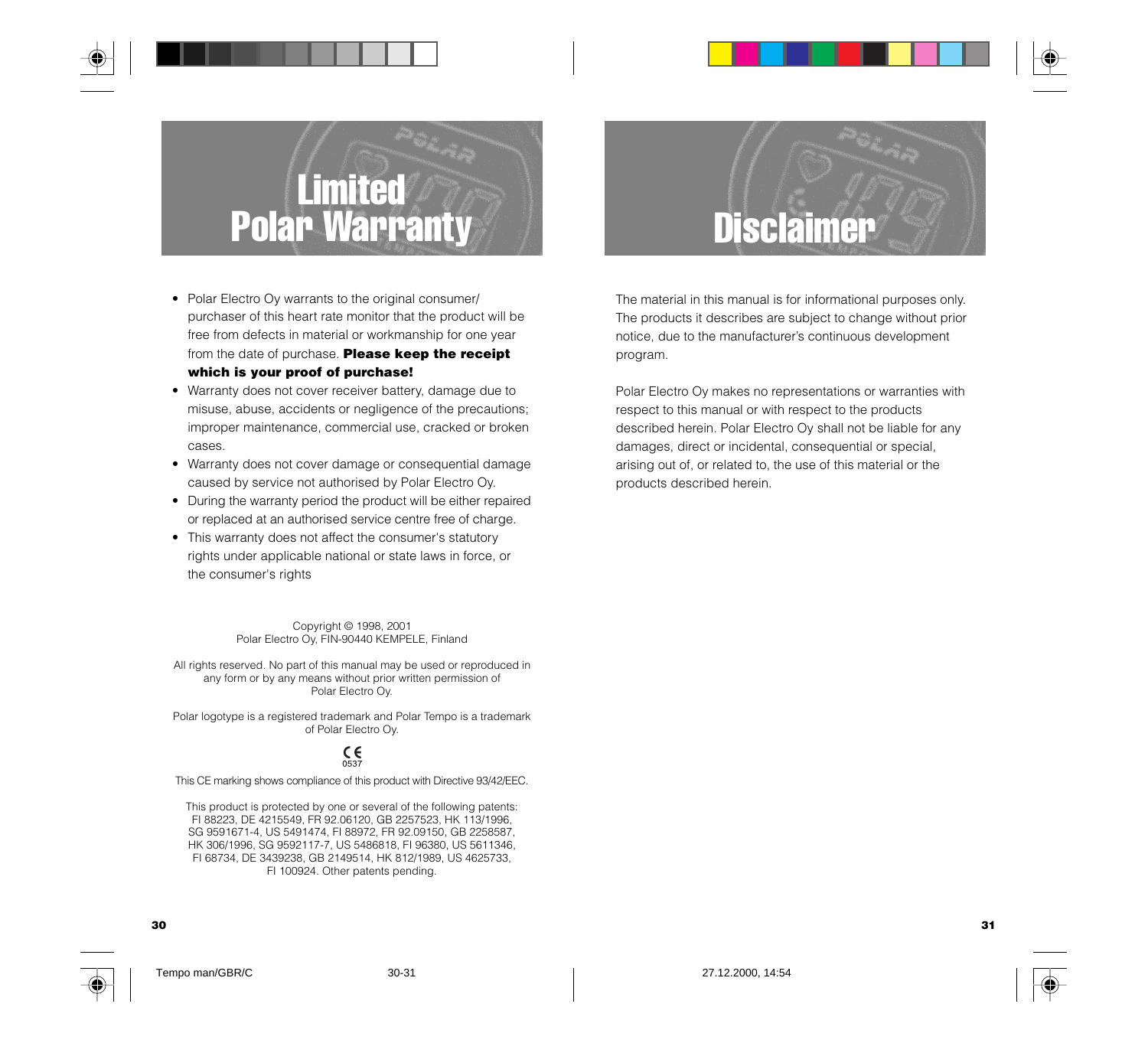## Limited Polar Warranty

- Polar Electro Oy warrants to the original consumer/ purchaser of this heart rate monitor that the product will be free from defects in material or workmanship for one year from the date of purchase. **Please keep the receipt which is your proof of purchase!**
- Warranty does not cover receiver battery, damage due to misuse, abuse, accidents or negligence of the precautions; improper maintenance, commercial use, cracked or broken cases.
- Warranty does not cover damage or consequential damage caused by service not authorised by Polar Electro Oy.
- During the warranty period the product will be either repaired or replaced at an authorised service centre free of charge.
- This warranty does not affect the consumer's statutory rights under applicable national or state laws in force, or the consumer's rights

Copyright © 1998, 2001 Polar Electro Oy, FIN-90440 KEMPELE, Finland

All rights reserved. No part of this manual may be used or reproduced in any form or by any means without prior written permission of Polar Electro Oy.

Polar logotype is a registered trademark and Polar Tempo is a trademark of Polar Electro Oy.

#### C€

This CE marking shows compliance of this product with Directive 93/42/EEC.

This product is protected by one or several of the following patents: FI 88223, DE 4215549, FR 92.06120, GB 2257523, HK 113/1996, SG 9591671-4, US 5491474, FI 88972, FR 92.09150, GB 2258587, HK 306/1996, SG 9592117-7, US 5486818, FI 96380, US 5611346, FI 68734, DE 3439238, GB 2149514, HK 812/1989, US 4625733, FI 100924. Other patents pending.

## **Disclaimer**

The material in this manual is for informational purposes only. The products it describes are subject to change without prior notice, due to the manufacturer's continuous development program.

Polar Electro Oy makes no representations or warranties with respect to this manual or with respect to the products described herein. Polar Electro Oy shall not be liable for any damages, direct or incidental, consequential or special, arising out of, or related to, the use of this material or the products described herein.



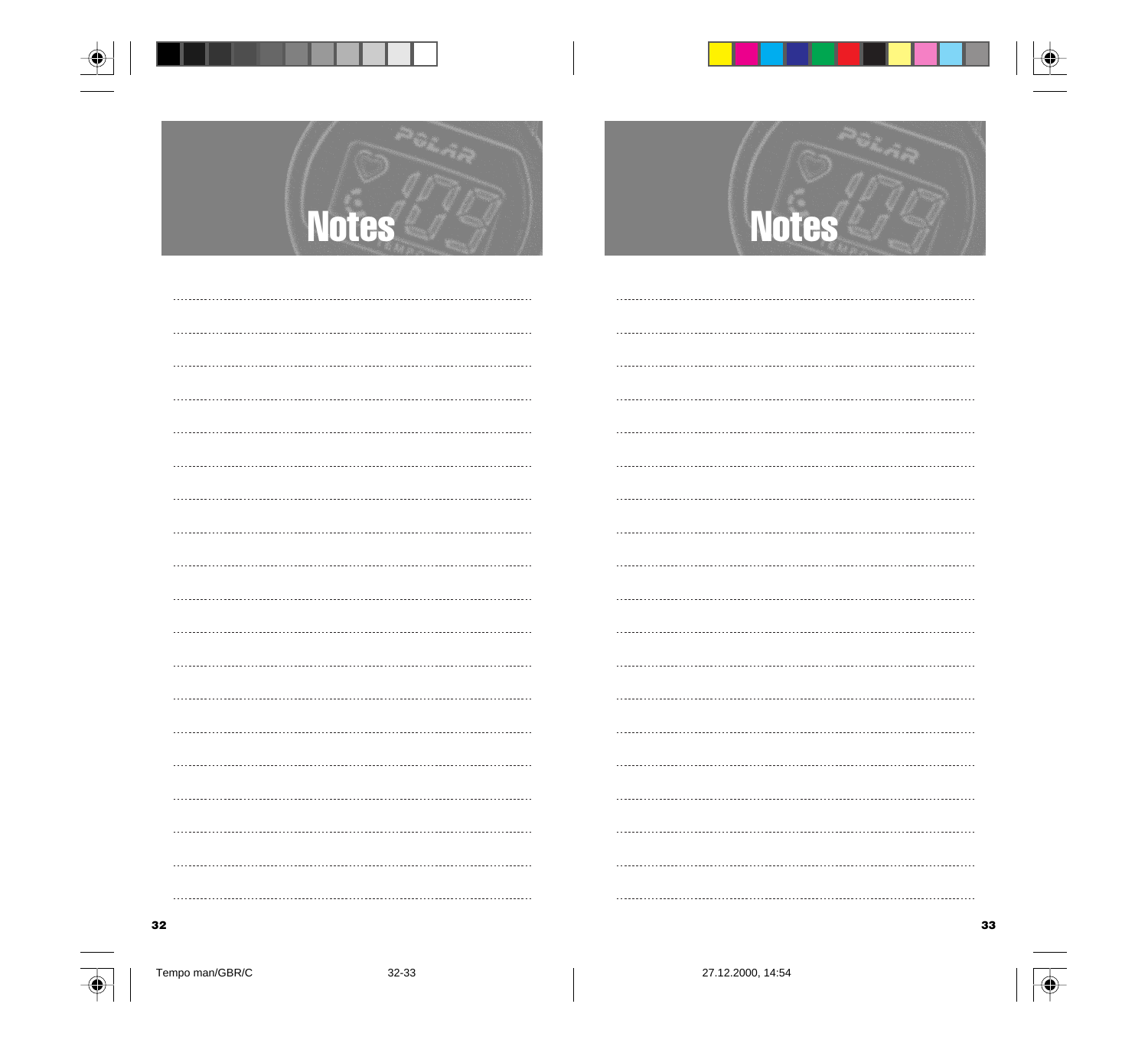



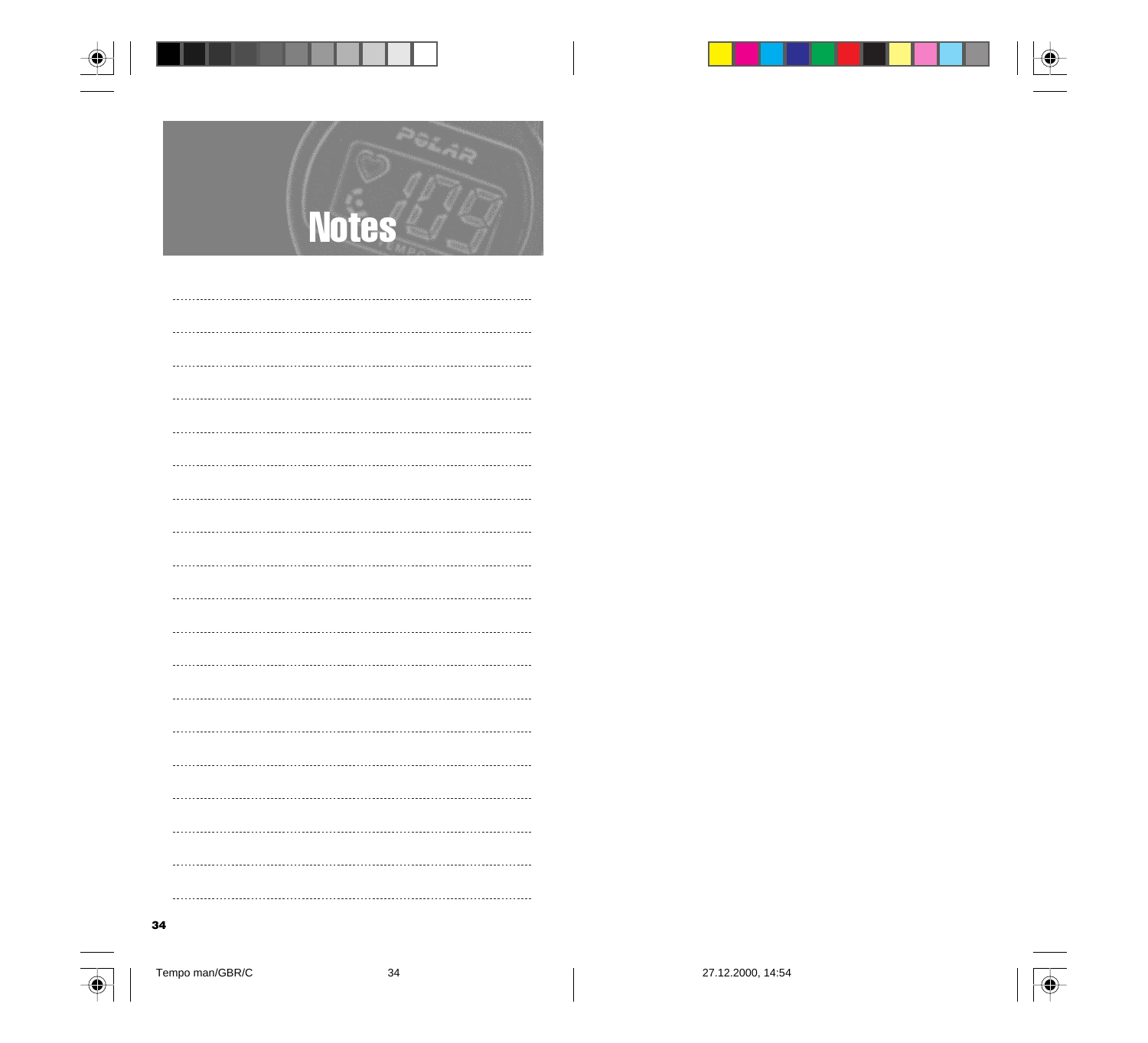



 $\begin{minipage}{0.5\textwidth} \begin{tabular}{|c|c|c|c|} \hline \textbf{1} & \textbf{1} & \textbf{1} & \textbf{1} & \textbf{1} & \textbf{1} & \textbf{1} & \textbf{1} & \textbf{1} & \textbf{1} & \textbf{1} & \textbf{1} & \textbf{1} & \textbf{1} & \textbf{1} & \textbf{1} & \textbf{1} & \textbf{1} & \textbf{1} & \textbf{1} & \textbf{1} & \textbf{1} & \textbf{1} & \textbf{1} & \textbf{1} & \textbf{1} & \textbf{1$